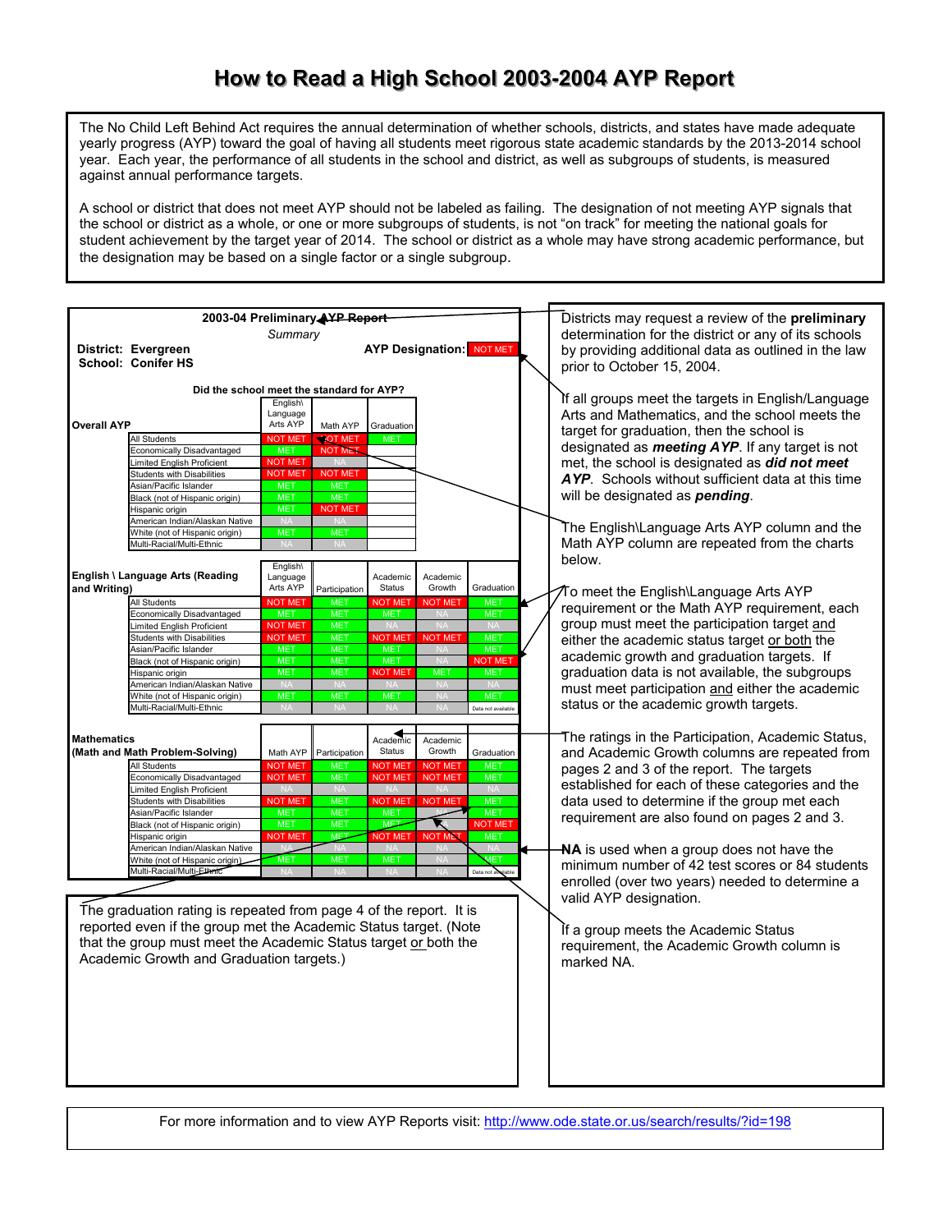## How to Read a High School 2003-2004 AYP Report

The No Child Left Behind Act requires the annual determination of whether schools, districts, and states have made adequate yearly progress (AYP) toward the goal of having all students meet rigorous state academic standards by the 2013-2014 school year. Each year, the performance of all students in the school and district, as well as subgroups of students, is measured against annual performance targets.

A school or district that does not meet AYP should not be labeled as failing. The designation of not meeting AYP signals that the school or district as a whole, or one or more subgroups of students, is not "on track" for meeting the national goals for student achievement by the target year of 2014. The school or district as a whole may have strong academic performance, but the designation may be based on a single factor or a single subgroup.

| 2003-04 Preliminary AYP Report                                     |                                                                  |                             |                                                    |                             |                                                        |                                                      | Districts may request a review of the preliminary       |
|--------------------------------------------------------------------|------------------------------------------------------------------|-----------------------------|----------------------------------------------------|-----------------------------|--------------------------------------------------------|------------------------------------------------------|---------------------------------------------------------|
| Summary                                                            |                                                                  |                             |                                                    |                             |                                                        | determination for the district or any of its schools |                                                         |
|                                                                    | District: Evergreen                                              |                             |                                                    |                             | <b>AYP Designation: NOT MET</b>                        |                                                      | by providing additional data as outlined in the law     |
|                                                                    | <b>School: Conifer HS</b>                                        |                             |                                                    |                             |                                                        |                                                      | prior to October 15, 2004.                              |
|                                                                    |                                                                  |                             |                                                    |                             |                                                        |                                                      |                                                         |
|                                                                    | Did the school meet the standard for AYP?                        | English\                    |                                                    |                             |                                                        |                                                      | If all groups meet the targets in English/Language      |
|                                                                    |                                                                  | Language                    |                                                    |                             |                                                        |                                                      | Arts and Mathematics, and the school meets the          |
| <b>Overall AYP</b>                                                 |                                                                  | Arts AYP                    | Math AYP                                           | Graduation                  |                                                        |                                                      | target for graduation, then the school is               |
|                                                                    | <b>All Students</b>                                              | <b>NOT MET</b>              | <b>NOT MET</b>                                     | ME <sup>®</sup>             |                                                        |                                                      |                                                         |
|                                                                    | Economically Disadvantaged                                       | <b>MET</b>                  | <b>NOT MET</b>                                     |                             |                                                        |                                                      | designated as <i>meeting AYP</i> . If any target is not |
|                                                                    | Limited English Proficient                                       | <b>NOT MET</b>              |                                                    |                             |                                                        |                                                      | met, the school is designated as did not meet           |
|                                                                    | <b>Students with Disabilities</b><br>Asian/Pacific Islander      | <b>NOT MET</b><br>MET       | <b>NOT MET</b><br><b>MET</b>                       |                             |                                                        |                                                      | AYP. Schools without sufficient data at this time       |
|                                                                    | Black (not of Hispanic origin)                                   | <b>MET</b>                  | <b>MET</b>                                         |                             |                                                        |                                                      | will be designated as <i>pending</i> .                  |
|                                                                    | Hispanic origin                                                  | <b>MET</b>                  | <b>NOT MET</b>                                     |                             |                                                        |                                                      |                                                         |
|                                                                    | American Indian/Alaskan Native                                   |                             |                                                    |                             |                                                        |                                                      |                                                         |
|                                                                    | White (not of Hispanic origin)                                   | <b>MET</b>                  | <b>MET</b>                                         |                             |                                                        |                                                      | The English\Language Arts AYP column and the            |
|                                                                    | Multi-Racial/Multi-Ethnic                                        |                             |                                                    |                             |                                                        |                                                      | Math AYP column are repeated from the charts            |
|                                                                    |                                                                  | English\                    |                                                    |                             |                                                        |                                                      | below.                                                  |
|                                                                    | English \ Language Arts (Reading                                 | Language                    |                                                    | Academic                    | Academic                                               |                                                      |                                                         |
| and Writing)                                                       |                                                                  | Arts AYP                    | Participation                                      | Status                      | Growth<br>Graduation                                   |                                                      | To meet the English\Language Arts AYP                   |
|                                                                    | All Students                                                     | <b>NOT MET</b>              | <b>MET</b>                                         | <b>NOT MET</b>              | <b>NOT MET</b><br><b>MET</b>                           |                                                      | requirement or the Math AYP requirement, each           |
|                                                                    | Economically Disadvantaged                                       | <b>MET</b>                  | <b>MET</b>                                         | <b>MET</b>                  | <b>MET</b>                                             |                                                      |                                                         |
|                                                                    | Limited English Proficient                                       | <b>NOT MET</b>              | <b>MET</b>                                         |                             | <b>NA</b>                                              |                                                      | group must meet the participation target and            |
|                                                                    | Students with Disabilities                                       | <b>NOT MET</b>              | <b>MET</b>                                         | <b>NOT ME</b>               | <b>MET</b><br><b>NOT MET</b><br>$N_A$                  |                                                      | either the academic status target or both the           |
|                                                                    | Asian/Pacific Islander<br>Black (not of Hispanic origin)         | <b>MET</b><br><b>MET</b>    | <b>MET</b><br><b>MET</b>                           | <b>MET</b><br><b>MET</b>    | <b>MET</b><br>N/L<br>NOT MET                           |                                                      | academic growth and graduation targets. If              |
|                                                                    | Hispanic origin                                                  | <b>MET</b>                  | <b>MET</b>                                         | <b>NOT MET</b>              | <b>MET</b><br><b>MET</b>                               |                                                      | graduation data is not available, the subgroups         |
|                                                                    | American Indian/Alaskan Native                                   |                             |                                                    |                             |                                                        |                                                      | must meet participation and either the academic         |
|                                                                    | White (not of Hispanic origin)                                   | <b>MET</b>                  | <b>MET</b>                                         | <b>MET</b>                  | <b>MET</b>                                             |                                                      |                                                         |
|                                                                    | Multi-Racial/Multi-Ethnic                                        | <b>NA</b>                   | NA                                                 | <b>NA</b>                   | Data not available<br>N/                               |                                                      | status or the academic growth targets.                  |
|                                                                    |                                                                  |                             |                                                    |                             |                                                        |                                                      |                                                         |
| <b>Mathematics</b><br>Academic<br>Academic                         |                                                                  |                             | The ratings in the Participation, Academic Status, |                             |                                                        |                                                      |                                                         |
|                                                                    | (Math and Math Problem-Solving)                                  | Math AYP                    | Participation                                      | Status                      | Growth<br>Graduation                                   |                                                      | and Academic Growth columns are repeated from           |
|                                                                    | All Students                                                     | <b>NOT MET</b>              | <b>MET</b>                                         | <b>NOT MET</b>              | <b>NOT MET</b><br><b>MET</b>                           |                                                      | pages 2 and 3 of the report. The targets                |
|                                                                    | Economically Disadvantaged                                       | <b>NOT MET</b>              | <b>MET</b>                                         | <b>NOT MET</b>              | <b>NOT MET</b><br><b>MET</b>                           |                                                      | established for each of these categories and the        |
|                                                                    | Limited English Proficient<br><b>Students with Disabilities</b>  | <b>NA</b><br><b>NOT MET</b> | <b>NA</b><br><b>MET</b>                            | <b>NA</b><br><b>NOT MET</b> | <b>NA</b><br><b>NA</b><br><b>NOT MET</b><br><b>MET</b> |                                                      |                                                         |
|                                                                    | Asian/Pacific Islander                                           | <b>MET</b>                  | <b>MET</b>                                         | <b>MET</b>                  | <b>MET</b>                                             |                                                      | data used to determine if the group met each            |
|                                                                    | Black (not of Hispanic origin)                                   | <b>MET</b>                  | <b>MET</b>                                         | <b>MET</b>                  | NOT MET                                                |                                                      | requirement are also found on pages 2 and 3.            |
|                                                                    | Hispanic origin                                                  | <b>NOT MET</b>              | <b>MET</b>                                         | <b>NOT MET</b>              | <b>NOT ME</b><br><b>MET</b>                            |                                                      |                                                         |
|                                                                    | American Indian/Alaskan Native                                   | NA.                         | <b>NA</b>                                          |                             |                                                        |                                                      | <b>NA</b> is used when a group does not have the        |
|                                                                    | White (not of Hispanic origin)                                   | <b>MET</b>                  | <b>MET</b>                                         | <b>MET</b>                  | <b>MET</b><br><b>NA</b>                                |                                                      | minimum number of 42 test scores or 84 students         |
|                                                                    | Multi-Racial/Multi-Ethnic                                        |                             |                                                    |                             | Data not available                                     |                                                      | enrolled (over two years) needed to determine a         |
|                                                                    |                                                                  |                             |                                                    |                             |                                                        |                                                      |                                                         |
|                                                                    |                                                                  |                             |                                                    |                             |                                                        |                                                      | valid AYP designation.                                  |
| The graduation rating is repeated from page 4 of the report. It is |                                                                  |                             |                                                    |                             |                                                        |                                                      |                                                         |
|                                                                    | reported even if the group met the Academic Status target. (Note |                             |                                                    |                             |                                                        |                                                      | If a group meets the Academic Status                    |
|                                                                    | that the group must meet the Academic Status target or both the  |                             |                                                    |                             |                                                        |                                                      | requirement, the Academic Growth column is              |
|                                                                    | Academic Growth and Graduation targets.)                         |                             |                                                    |                             |                                                        |                                                      | marked NA.                                              |
|                                                                    |                                                                  |                             |                                                    |                             |                                                        |                                                      |                                                         |
|                                                                    |                                                                  |                             |                                                    |                             |                                                        |                                                      |                                                         |
|                                                                    |                                                                  |                             |                                                    |                             |                                                        |                                                      |                                                         |
|                                                                    |                                                                  |                             |                                                    |                             |                                                        |                                                      |                                                         |
|                                                                    |                                                                  |                             |                                                    |                             |                                                        |                                                      |                                                         |
|                                                                    |                                                                  |                             |                                                    |                             |                                                        |                                                      |                                                         |
|                                                                    |                                                                  |                             |                                                    |                             |                                                        |                                                      |                                                         |
|                                                                    |                                                                  |                             |                                                    |                             |                                                        |                                                      |                                                         |
|                                                                    |                                                                  |                             |                                                    |                             |                                                        |                                                      |                                                         |
|                                                                    |                                                                  |                             |                                                    |                             |                                                        |                                                      |                                                         |

For more information and to view AYP Reports visit: <http://www.ode.state.or.us/search/results/?id=198>